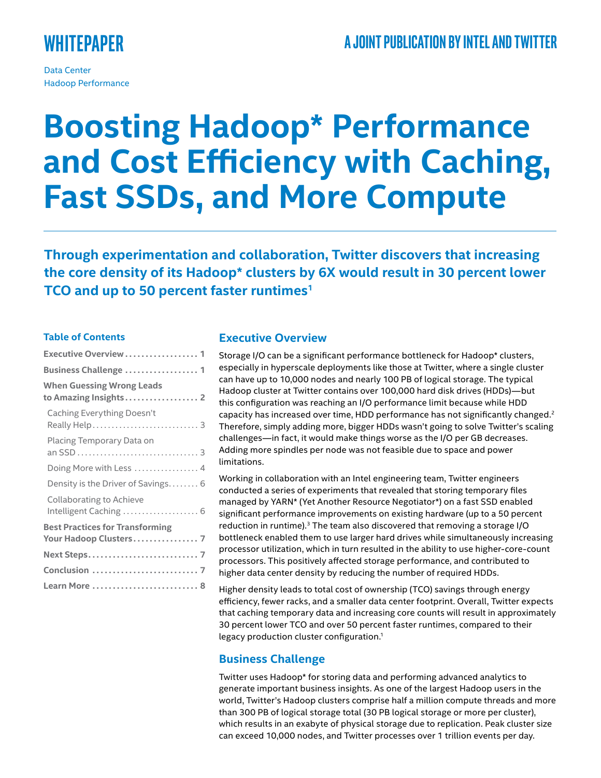# **Whitepaper**

Data Center Hadoop Performance

# **Boosting Hadoop\* Performance and Cost Efficiency with Caching, Fast SSDs, and More Compute**

**Through experimentation and collaboration, Twitter discovers that increasing the core density of its Hadoop\* clusters by 6X would result in 30 percent lower TCO and up to 50 percent faster runtimes1**

## **Table of Contents**

| Executive Overview  1                                            |  |  |  |
|------------------------------------------------------------------|--|--|--|
| Business Challenge  1                                            |  |  |  |
| <b>When Guessing Wrong Leads</b><br>to Amazing Insights 2        |  |  |  |
| Caching Everything Doesn't                                       |  |  |  |
| Placing Temporary Data on                                        |  |  |  |
| Doing More with Less  4                                          |  |  |  |
| Density is the Driver of Savings 6                               |  |  |  |
| <b>Collaborating to Achieve</b><br>Intelligent Caching  6        |  |  |  |
| <b>Best Practices for Transforming</b><br>Your Hadoop Clusters 7 |  |  |  |
|                                                                  |  |  |  |
|                                                                  |  |  |  |
|                                                                  |  |  |  |

# **Executive Overview**

Storage I/O can be a significant performance bottleneck for Hadoop\* clusters, especially in hyperscale deployments like those at Twitter, where a single cluster can have up to 10,000 nodes and nearly 100 PB of logical storage. The typical Hadoop cluster at Twitter contains over 100,000 hard disk drives (HDDs)—but this configuration was reaching an I/O performance limit because while HDD capacity has increased over time, HDD performance has not significantly changed.<sup>2</sup> Therefore, simply adding more, bigger HDDs wasn't going to solve Twitter's scaling challenges—in fact, it would make things worse as the I/O per GB decreases. Adding more spindles per node was not feasible due to space and power limitations.

Working in collaboration with an Intel engineering team, Twitter engineers conducted a series of experiments that revealed that storing temporary files managed by YARN\* (Yet Another Resource Negotiator\*) on a fast SSD enabled significant performance improvements on existing hardware (up to a 50 percent reduction in runtime).<sup>3</sup> The team also discovered that removing a storage I/O bottleneck enabled them to use larger hard drives while simultaneously increasing processor utilization, which in turn resulted in the ability to use higher-core-count processors. This positively affected storage performance, and contributed to higher data center density by reducing the number of required HDDs.

Higher density leads to total cost of ownership (TCO) savings through energy efficiency, fewer racks, and a smaller data center footprint. Overall, Twitter expects that caching temporary data and increasing core counts will result in approximately 30 percent lower TCO and over 50 percent faster runtimes, compared to their legacy production cluster configuration.<sup>1</sup>

# **Business Challenge**

Twitter uses Hadoop\* for storing data and performing advanced analytics to generate important business insights. As one of the largest Hadoop users in the world, Twitter's Hadoop clusters comprise half a million compute threads and more than 300 PB of logical storage total (30 PB logical storage or more per cluster), which results in an exabyte of physical storage due to replication. Peak cluster size can exceed 10,000 nodes, and Twitter processes over 1 trillion events per day.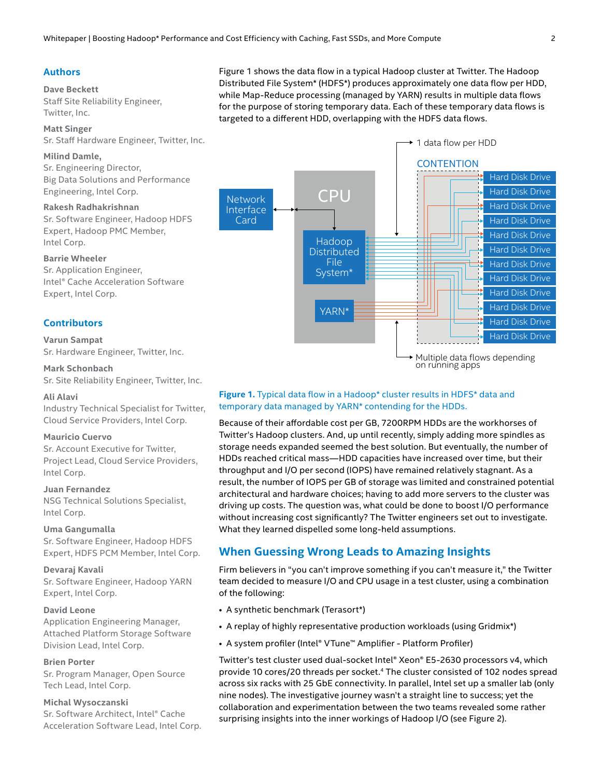#### <span id="page-1-0"></span>**Authors**

#### **Dave Beckett**

Staff Site Reliability Engineer, Twitter, Inc.

# **Matt Singer**

Sr. Staff Hardware Engineer, Twitter, Inc.

# **Milind Damle,**

Sr. Engineering Director, Big Data Solutions and Performance Engineering, Intel Corp.

#### **Rakesh Radhakrishnan**

Sr. Software Engineer, Hadoop HDFS Expert, Hadoop PMC Member, Intel Corp.

#### **Barrie Wheeler**

Sr. Application Engineer, Intel® Cache Acceleration Software Expert, Intel Corp.

#### **Contributors**

#### **Varun Sampat**

Sr. Hardware Engineer, Twitter, Inc.

#### **Mark Schonbach**

Sr. Site Reliability Engineer, Twitter, Inc.

#### **Ali Alavi**

Industry Technical Specialist for Twitter, Cloud Service Providers, Intel Corp.

#### **Mauricio Cuervo**

Sr. Account Executive for Twitter, Project Lead, Cloud Service Providers, Intel Corp.

#### **Juan Fernandez**

NSG Technical Solutions Specialist, Intel Corp.

#### **Uma Gangumalla**

Sr. Software Engineer, Hadoop HDFS Expert, HDFS PCM Member, Intel Corp.

#### **Devaraj Kavali**

Sr. Software Engineer, Hadoop YARN Expert, Intel Corp.

#### **David Leone**

Application Engineering Manager, Attached Platform Storage Software Division Lead, Intel Corp.

#### **Brien Porter**

Sr. Program Manager, Open Source Tech Lead, Intel Corp.

#### **Michal Wysoczanski**

Sr. Software Architect, Intel® Cache Acceleration Software Lead, Intel Corp. Figure 1 shows the data flow in a typical Hadoop cluster at Twitter. The Hadoop Distributed File System\* (HDFS\*) produces approximately one data flow per HDD, while Map-Reduce processing (managed by YARN) results in multiple data flows for the purpose of storing temporary data. Each of these temporary data flows is targeted to a different HDD, overlapping with the HDFS data flows.



#### Figure 1. Typical data flow in a Hadoop\* cluster results in HDFS\* data and temporary data managed by YARN\* contending for the HDDs.

Because of their affordable cost per GB, 7200RPM HDDs are the workhorses of Twitter's Hadoop clusters. And, up until recently, simply adding more spindles as storage needs expanded seemed the best solution. But eventually, the number of HDDs reached critical mass—HDD capacities have increased over time, but their throughput and I/O per second (IOPS) have remained relatively stagnant. As a result, the number of IOPS per GB of storage was limited and constrained potential architectural and hardware choices; having to add more servers to the cluster was driving up costs. The question was, what could be done to boost I/O performance without increasing cost significantly? The Twitter engineers set out to investigate. What they learned dispelled some long-held assumptions.

# **When Guessing Wrong Leads to Amazing Insights**

Firm believers in "you can't improve something if you can't measure it," the Twitter team decided to measure I/O and CPU usage in a test cluster, using a combination of the following:

- A synthetic benchmark (Terasort\*)
- A replay of highly representative production workloads (using Gridmix\*)
- A system profiler (Intel® VTune™ Amplifier Platform Profiler)

Twitter's test cluster used dual-socket Intel® Xeon® E5-2630 processors v4, which provide 10 cores/20 threads per socket.<sup>4</sup> The cluster consisted of 102 nodes spread across six racks with 25 GbE connectivity. In parallel, Intel set up a smaller lab (only nine nodes). The investigative journey wasn't a straight line to success; yet the collaboration and experimentation between the two teams revealed some rather surprising insights into the inner workings of Hadoop I/O (see Figure 2).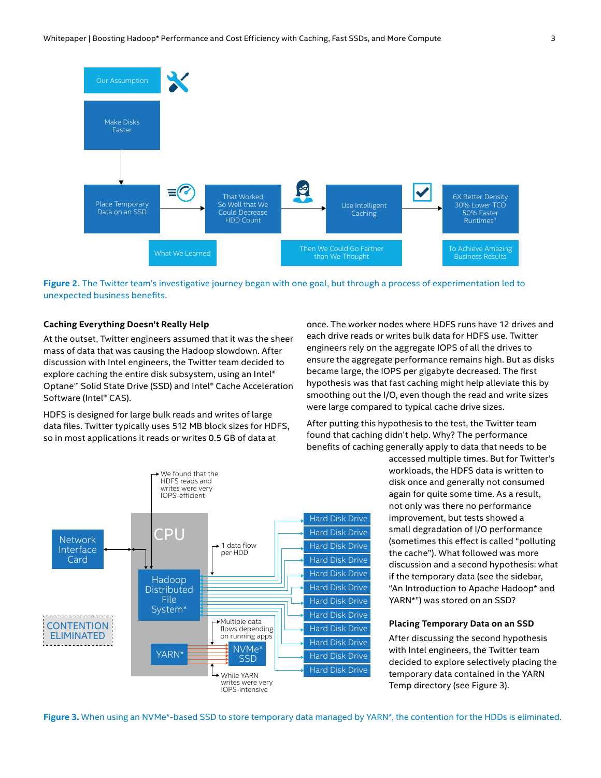<span id="page-2-0"></span>

**Figure 2.** The Twitter team's investigative journey began with one goal, but through a process of experimentation led to unexpected business benefits.

#### **Caching Everything Doesn't Really Help**

At the outset, Twitter engineers assumed that it was the sheer mass of data that was causing the Hadoop slowdown. After discussion with Intel engineers, the Twitter team decided to explore caching the entire disk subsystem, using an Intel® Optane™ Solid State Drive (SSD) and Intel® Cache Acceleration Software (Intel® CAS).

HDFS is designed for large bulk reads and writes of large data files. Twitter typically uses 512 MB block sizes for HDFS, so in most applications it reads or writes 0.5 GB of data at

once. The worker nodes where HDFS runs have 12 drives and each drive reads or writes bulk data for HDFS use. Twitter engineers rely on the aggregate IOPS of all the drives to ensure the aggregate performance remains high. But as disks became large, the IOPS per gigabyte decreased. The first hypothesis was that fast caching might help alleviate this by smoothing out the I/O, even though the read and write sizes were large compared to typical cache drive sizes.

After putting this hypothesis to the test, the Twitter team found that caching didn't help. Why? The performance benefits of caching generally apply to data that needs to be



accessed multiple times. But for Twitter's workloads, the HDFS data is written to disk once and generally not consumed again for quite some time. As a result, not only was there no performance improvement, but tests showed a small degradation of I/O performance (sometimes this effect is called "polluting the cache"). What followed was more discussion and a second hypothesis: what if the temporary data (see the sidebar, "An Introduction to Apache Hadoop\* and YARN\*") was stored on an SSD?

#### **Placing Temporary Data on an SSD**

After discussing the second hypothesis with Intel engineers, the Twitter team decided to explore selectively placing the temporary data contained in the YARN Temp directory (see Figure 3).

**Figure 3.** When using an NVMe\*-based SSD to store temporary data managed by YARN\*, the contention for the HDDs is eliminated.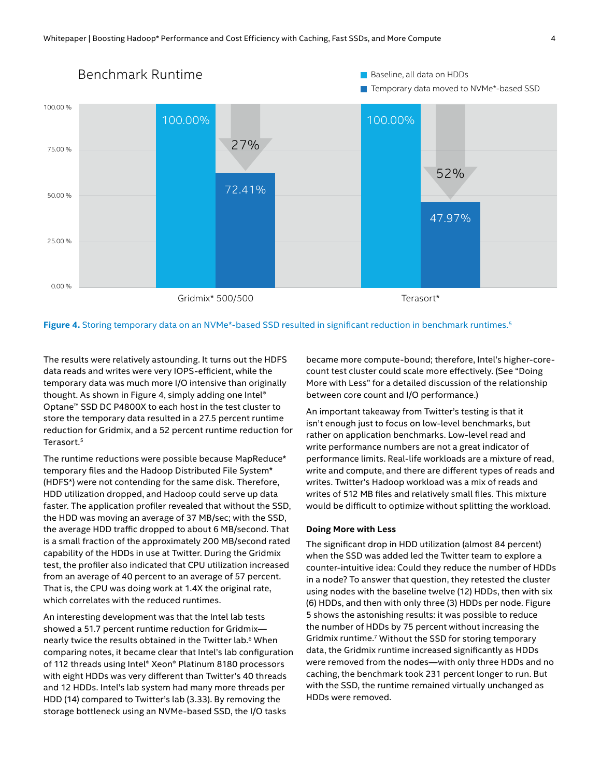<span id="page-3-0"></span>

Figure 4. Storing temporary data on an NVMe<sup>\*</sup>-based SSD resulted in significant reduction in benchmark runtimes.<sup>5</sup>

The results were relatively astounding. It turns out the HDFS data reads and writes were very IOPS-efficient, while the temporary data was much more I/O intensive than originally thought. As shown in Figure 4, simply adding one Intel® Optane™ SSD DC P4800X to each host in the test cluster to store the temporary data resulted in a 27.5 percent runtime reduction for Gridmix, and a 52 percent runtime reduction for Terasort.5

The runtime reductions were possible because MapReduce\* temporary files and the Hadoop Distributed File System\* (HDFS\*) were not contending for the same disk. Therefore, HDD utilization dropped, and Hadoop could serve up data faster. The application profiler revealed that without the SSD, the HDD was moving an average of 37 MB/sec; with the SSD, the average HDD traffic dropped to about 6 MB/second. That is a small fraction of the approximately 200 MB/second rated capability of the HDDs in use at Twitter. During the Gridmix test, the profiler also indicated that CPU utilization increased from an average of 40 percent to an average of 57 percent. That is, the CPU was doing work at 1.4X the original rate, which correlates with the reduced runtimes.

An interesting development was that the Intel lab tests showed a 51.7 percent runtime reduction for Gridmix nearly twice the results obtained in the Twitter lab.<sup>6</sup> When comparing notes, it became clear that Intel's lab configuration of 112 threads using Intel® Xeon® Platinum 8180 processors with eight HDDs was very different than Twitter's 40 threads and 12 HDDs. Intel's lab system had many more threads per HDD (14) compared to Twitter's lab (3.33). By removing the storage bottleneck using an NVMe-based SSD, the I/O tasks

became more compute-bound; therefore, Intel's higher-corecount test cluster could scale more effectively. (See "Doing More with Less" for a detailed discussion of the relationship between core count and I/O performance.)

An important takeaway from Twitter's testing is that it isn't enough just to focus on low-level benchmarks, but rather on application benchmarks. Low-level read and write performance numbers are not a great indicator of performance limits. Real-life workloads are a mixture of read, write and compute, and there are different types of reads and writes. Twitter's Hadoop workload was a mix of reads and writes of 512 MB files and relatively small files. This mixture would be difficult to optimize without splitting the workload.

#### **Doing More with Less**

The significant drop in HDD utilization (almost 84 percent) when the SSD was added led the Twitter team to explore a counter-intuitive idea: Could they reduce the number of HDDs in a node? To answer that question, they retested the cluster using nodes with the baseline twelve (12) HDDs, then with six (6) HDDs, and then with only three (3) HDDs per node. Figure 5 shows the astonishing results: it was possible to reduce the number of HDDs by 75 percent without increasing the Gridmix runtime.7 Without the SSD for storing temporary data, the Gridmix runtime increased significantly as HDDs were removed from the nodes—with only three HDDs and no caching, the benchmark took 231 percent longer to run. But with the SSD, the runtime remained virtually unchanged as HDDs were removed.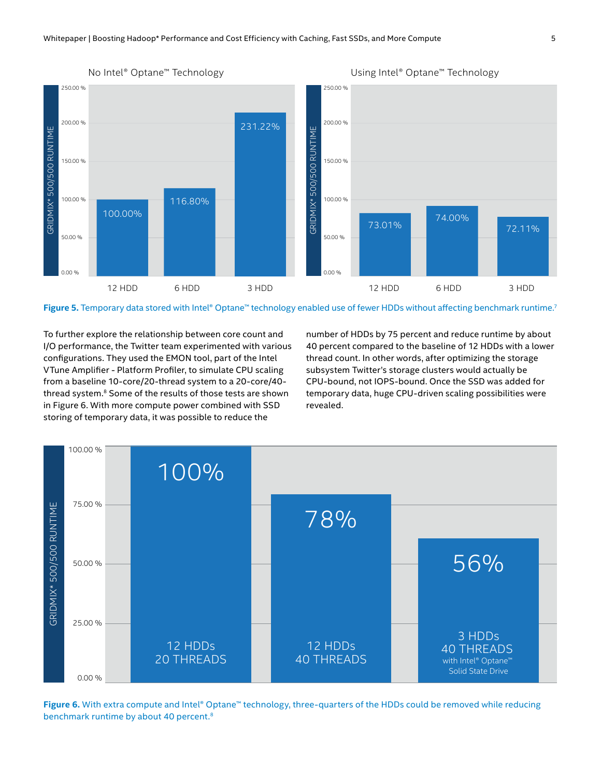

**Figure 5.** Temporary data stored with Intel® Optane™ technology enabled use of fewer HDDs without affecting benchmark runtime.<sup>7</sup>

To further explore the relationship between core count and I/O performance, the Twitter team experimented with various configurations. They used the EMON tool, part of the Intel VTune Amplifier - Platform Profiler, to simulate CPU scaling from a baseline 10-core/20-thread system to a 20-core/40 thread system.8 Some of the results of those tests are shown in Figure 6. With more compute power combined with SSD storing of temporary data, it was possible to reduce the

number of HDDs by 75 percent and reduce runtime by about 40 percent compared to the baseline of 12 HDDs with a lower thread count. In other words, after optimizing the storage subsystem Twitter's storage clusters would actually be CPU-bound, not IOPS-bound. Once the SSD was added for temporary data, huge CPU-driven scaling possibilities were revealed.



**Figure 6.** With extra compute and Intel® Optane™ technology, three-quarters of the HDDs could be removed while reducing benchmark runtime by about 40 percent.8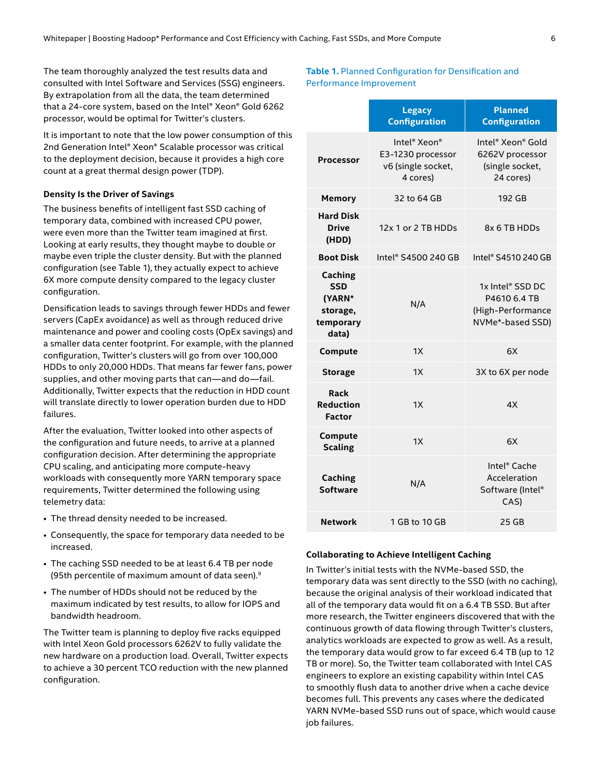<span id="page-5-0"></span>The team thoroughly analyzed the test results data and consulted with Intel Software and Services (SSG) engineers. By extrapolation from all the data, the team determined that a 24-core system, based on the Intel® Xeon® Gold 6262 processor, would be optimal for Twitter's clusters.

It is important to note that the low power consumption of this 2nd Generation Intel® Xeon® Scalable processor was critical to the deployment decision, because it provides a high core count at a great thermal design power (TDP).

#### **Density Is the Driver of Savings**

The business benefits of intelligent fast SSD caching of temporary data, combined with increased CPU power, were even more than the Twitter team imagined at first. Looking at early results, they thought maybe to double or maybe even triple the cluster density. But with the planned configuration (see Table 1), they actually expect to achieve 6X more compute density compared to the legacy cluster configuration.

Densification leads to savings through fewer HDDs and fewer servers (CapEx avoidance) as well as through reduced drive maintenance and power and cooling costs (OpEx savings) and a smaller data center footprint. For example, with the planned configuration, Twitter's clusters will go from over 100,000 HDDs to only 20,000 HDDs. That means far fewer fans, power supplies, and other moving parts that can—and do—fail. Additionally, Twitter expects that the reduction in HDD count will translate directly to lower operation burden due to HDD failures.

After the evaluation, Twitter looked into other aspects of the configuration and future needs, to arrive at a planned configuration decision. After determining the appropriate CPU scaling, and anticipating more compute-heavy workloads with consequently more YARN temporary space requirements, Twitter determined the following using telemetry data:

- The thread density needed to be increased.
- Consequently, the space for temporary data needed to be increased.
- The caching SSD needed to be at least 6.4 TB per node (95th percentile of maximum amount of data seen).9
- The number of HDDs should not be reduced by the maximum indicated by test results, to allow for IOPS and bandwidth headroom.

The Twitter team is planning to deploy five racks equipped with Intel Xeon Gold processors 6262V to fully validate the new hardware on a production load. Overall, Twitter expects to achieve a 30 percent TCO reduction with the new planned configuration.

#### **Table 1.** Planned Configuration for Densification and Performance Improvement

|                                                                          | <b>Legacy</b><br><b>Configuration</b>                                                       | <b>Planned</b><br><b>Configuration</b>                                    |
|--------------------------------------------------------------------------|---------------------------------------------------------------------------------------------|---------------------------------------------------------------------------|
| Processor                                                                | Intel <sup>®</sup> Xeon <sup>®</sup><br>E3-1230 processor<br>v6 (single socket,<br>4 cores) | Intel® Xeon® Gold<br>6262V processor<br>(single socket,<br>24 cores)      |
| <b>Memory</b>                                                            | 32 to 64 GB                                                                                 | 192 GB                                                                    |
| <b>Hard Disk</b><br><b>Drive</b><br>(HDD)                                | 12x 1 or 2 TB HDDs                                                                          | 8x 6 TB HDDs                                                              |
| <b>Boot Disk</b>                                                         | Intel® S4500 240 GB                                                                         | Intel® S4510 240 GB                                                       |
| <b>Caching</b><br><b>SSD</b><br>(YARN*<br>storage,<br>temporary<br>data) | N/A                                                                                         | 1x Intel® SSD DC<br>P4610 6.4 TB<br>(High-Performance<br>NVMe*-based SSD) |
| Compute                                                                  | 1X                                                                                          | 6X                                                                        |
| <b>Storage</b>                                                           | 1X                                                                                          | 3X to 6X per node                                                         |
| Rack<br><b>Reduction</b><br><b>Factor</b>                                | 1X                                                                                          | 4X                                                                        |
| Compute<br><b>Scaling</b>                                                | 1X                                                                                          | 6X                                                                        |
| <b>Caching</b><br><b>Software</b>                                        | N/A                                                                                         | Intel <sup>®</sup> Cache<br>Acceleration<br>Software (Intel®<br>CAS)      |
| <b>Network</b>                                                           | 1 GB to 10 GB                                                                               | 25 GB                                                                     |

#### **Collaborating to Achieve Intelligent Caching**

In Twitter's initial tests with the NVMe-based SSD, the temporary data was sent directly to the SSD (with no caching), because the original analysis of their workload indicated that all of the temporary data would fit on a 6.4 TB SSD. But after more research, the Twitter engineers discovered that with the continuous growth of data flowing through Twitter's clusters, analytics workloads are expected to grow as well. As a result, the temporary data would grow to far exceed 6.4 TB (up to 12 TB or more). So, the Twitter team collaborated with Intel CAS engineers to explore an existing capability within Intel CAS to smoothly flush data to another drive when a cache device becomes full. This prevents any cases where the dedicated YARN NVMe-based SSD runs out of space, which would cause job failures.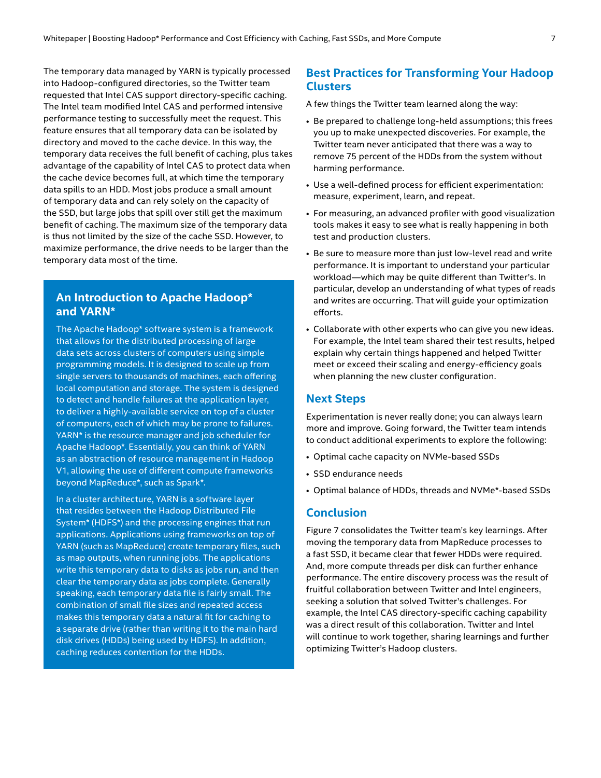<span id="page-6-0"></span>The temporary data managed by YARN is typically processed into Hadoop-configured directories, so the Twitter team requested that Intel CAS support directory-specific caching. The Intel team modified Intel CAS and performed intensive performance testing to successfully meet the request. This feature ensures that all temporary data can be isolated by directory and moved to the cache device. In this way, the temporary data receives the full benefit of caching, plus takes advantage of the capability of Intel CAS to protect data when the cache device becomes full, at which time the temporary data spills to an HDD. Most jobs produce a small amount of temporary data and can rely solely on the capacity of the SSD, but large jobs that spill over still get the maximum benefit of caching. The maximum size of the temporary data is thus not limited by the size of the cache SSD. However, to maximize performance, the drive needs to be larger than the temporary data most of the time.

# **An Introduction to Apache Hadoop\* and YARN\***

The Apache Hadoop\* software system is a framework that allows for the distributed processing of large data sets across clusters of computers using simple programming models. It is designed to scale up from single servers to thousands of machines, each offering local computation and storage. The system is designed to detect and handle failures at the application layer, to deliver a highly-available service on top of a cluster of computers, each of which may be prone to failures. YARN\* is the resource manager and job scheduler for Apache Hadoop\*. Essentially, you can think of YARN as an abstraction of resource management in Hadoop V1, allowing the use of different compute frameworks beyond MapReduce\*, such as Spark\*.

In a cluster architecture, YARN is a software layer that resides between the Hadoop Distributed File System\* (HDFS\*) and the processing engines that run applications. Applications using frameworks on top of YARN (such as MapReduce) create temporary files, such as map outputs, when running jobs. The applications write this temporary data to disks as jobs run, and then clear the temporary data as jobs complete. Generally speaking, each temporary data file is fairly small. The combination of small file sizes and repeated access makes this temporary data a natural fit for caching to a separate drive (rather than writing it to the main hard disk drives (HDDs) being used by HDFS). In addition, caching reduces contention for the HDDs.

# **Best Practices for Transforming Your Hadoop Clusters**

A few things the Twitter team learned along the way:

- Be prepared to challenge long-held assumptions; this frees you up to make unexpected discoveries. For example, the Twitter team never anticipated that there was a way to remove 75 percent of the HDDs from the system without harming performance.
- Use a well-defined process for efficient experimentation: measure, experiment, learn, and repeat.
- For measuring, an advanced profiler with good visualization tools makes it easy to see what is really happening in both test and production clusters.
- Be sure to measure more than just low-level read and write performance. It is important to understand your particular workload—which may be quite different than Twitter's. In particular, develop an understanding of what types of reads and writes are occurring. That will guide your optimization efforts.
- Collaborate with other experts who can give you new ideas. For example, the Intel team shared their test results, helped explain why certain things happened and helped Twitter meet or exceed their scaling and energy-efficiency goals when planning the new cluster configuration.

# **Next Steps**

Experimentation is never really done; you can always learn more and improve. Going forward, the Twitter team intends to conduct additional experiments to explore the following:

- Optimal cache capacity on NVMe-based SSDs
- SSD endurance needs
- Optimal balance of HDDs, threads and NVMe\*-based SSDs

#### **Conclusion**

Figure 7 consolidates the Twitter team's key learnings. After moving the temporary data from MapReduce processes to a fast SSD, it became clear that fewer HDDs were required. And, more compute threads per disk can further enhance performance. The entire discovery process was the result of fruitful collaboration between Twitter and Intel engineers, seeking a solution that solved Twitter's challenges. For example, the Intel CAS directory-specific caching capability was a direct result of this collaboration. Twitter and Intel will continue to work together, sharing learnings and further optimizing Twitter's Hadoop clusters.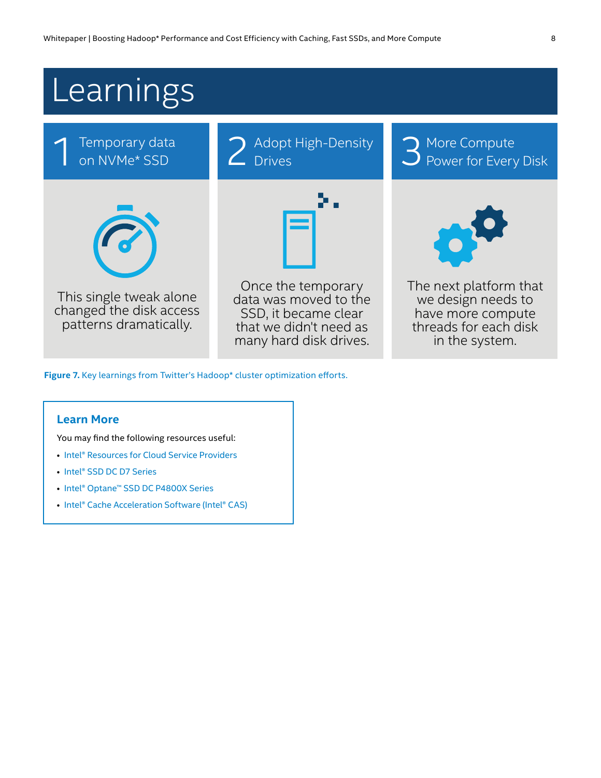<span id="page-7-0"></span>

Figure 7. Key learnings from Twitter's Hadoop\* cluster optimization efforts.

## **Learn More**

You may find the following resources useful:

- [Intel® Resources for Cloud Service Providers](https://www.intel.com/content/www/us/en/cloud-computing/cloud-service-provider-resources.html)
- [Intel® SSD DC D7 Series](https://www.intel.com/content/www/us/en/products/memory-storage/solid-state-drives/data-center-ssds/d7-series.html)
- [Intel® Optane™ SSD DC P4800X Series](https://www.intel.com/content/www/us/en/products/memory-storage/solid-state-drives/data-center-ssds/optane-dc-p4800x-series.html)
- [Intel® Cache Acceleration Software \(Intel® CAS\)](https://www.intel.com/content/www/us/en/software/intel-cache-acceleration-software-performance.html)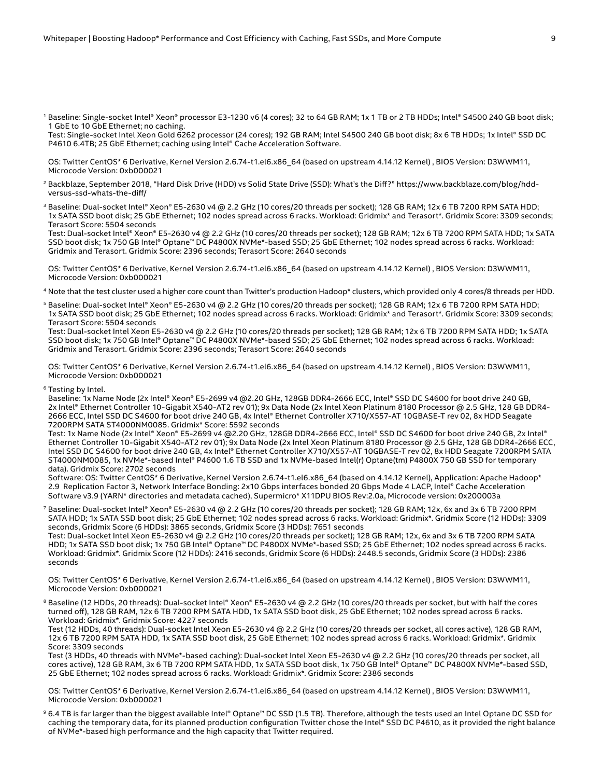<sup>1</sup> Baseline: Single-socket Intel® Xeon® processor E3-1230 v6 (4 cores); 32 to 64 GB RAM; 1x 1 TB or 2 TB HDDs; Intel® S4500 240 GB boot disk; 1 GbE to 10 GbE Ethernet; no caching.

Test: Single-socket Intel Xeon Gold 6262 processor (24 cores); 192 GB RAM; Intel S4500 240 GB boot disk; 8x 6 TB HDDs; 1x Intel® SSD DC P4610 6.4TB; 25 GbE Ethernet; caching using Intel® Cache Acceleration Software.

OS: Twitter CentOS\* 6 Derivative, Kernel Version 2.6.74-t1.el6.x86\_64 (based on upstream 4.14.12 Kernel) , BIOS Version: D3WWM11, Microcode Version: 0xb000021

- <sup>2</sup> Backblaze, September 2018, "Hard Disk Drive (HDD) vs Solid State Drive (SSD): What's the Diff?" https://www.backblaze.com/blog/hddversus-ssd-whats-the-diff/
- <sup>3</sup> Baseline: Dual-socket Intel® Xeon® E5-2630 v4 @ 2.2 GHz (10 cores/20 threads per socket); 128 GB RAM; 12x 6 TB 7200 RPM SATA HDD; 1x SATA SSD boot disk; 25 GbE Ethernet; 102 nodes spread across 6 racks. Workload: Gridmix\* and Terasort\*. Gridmix Score: 3309 seconds; Terasort Score: 5504 seconds

Test: Dual-socket Intel® Xeon® E5-2630 v4 @ 2.2 GHz (10 cores/20 threads per socket); 128 GB RAM; 12x 6 TB 7200 RPM SATA HDD; 1x SATA SSD boot disk; 1x 750 GB Intel® Optane™ DC P4800X NVMe\*-based SSD; 25 GbE Ethernet; 102 nodes spread across 6 racks. Workload: Gridmix and Terasort. Gridmix Score: 2396 seconds; Terasort Score: 2640 seconds

OS: Twitter CentOS\* 6 Derivative, Kernel Version 2.6.74-t1.el6.x86\_64 (based on upstream 4.14.12 Kernel) , BIOS Version: D3WWM11, Microcode Version: 0xb000021

<sup>4</sup> Note that the test cluster used a higher core count than Twitter's production Hadoop\* clusters, which provided only 4 cores/8 threads per HDD.

<sup>5</sup> Baseline: Dual-socket Intel® Xeon® E5-2630 v4 @ 2.2 GHz (10 cores/20 threads per socket); 128 GB RAM; 12x 6 TB 7200 RPM SATA HDD; 1x SATA SSD boot disk; 25 GbE Ethernet; 102 nodes spread across 6 racks. Workload: Gridmix\* and Terasort\*. Gridmix Score: 3309 seconds; Terasort Score: 5504 seconds

Test: Dual-socket Intel Xeon E5-2630 v4 @ 2.2 GHz (10 cores/20 threads per socket); 128 GB RAM; 12x 6 TB 7200 RPM SATA HDD; 1x SATA SSD boot disk; 1x 750 GB Intel® Optane™ DC P4800X NVMe\*-based SSD; 25 GbE Ethernet; 102 nodes spread across 6 racks. Workload: Gridmix and Terasort. Gridmix Score: 2396 seconds; Terasort Score: 2640 seconds

OS: Twitter CentOS\* 6 Derivative, Kernel Version 2.6.74-t1.el6.x86\_64 (based on upstream 4.14.12 Kernel) , BIOS Version: D3WWM11, Microcode Version: 0xb000021

<sup>6</sup> Testing by Intel.

Baseline: 1x Name Node (2x Intel® Xeon® E5-2699 v4 @2.20 GHz, 128GB DDR4-2666 ECC, Intel® SSD DC S4600 for boot drive 240 GB, 2x Intel® Ethernet Controller 10-Gigabit X540-AT2 rev 01); 9x Data Node (2x Intel Xeon Platinum 8180 Processor @ 2.5 GHz, 128 GB DDR4- 2666 ECC, Intel SSD DC S4600 for boot drive 240 GB, 4x Intel® Ethernet Controller X710/X557-AT 10GBASE-T rev 02, 8x HDD Seagate 7200RPM SATA ST4000NM0085. Gridmix\* Score: 5592 seconds

Test: 1x Name Node (2x Intel® Xeon® E5-2699 v4 @2.20 GHz, 128GB DDR4-2666 ECC, Intel® SSD DC S4600 for boot drive 240 GB, 2x Intel® Ethernet Controller 10-Gigabit X540-AT2 rev 01); 9x Data Node (2x Intel Xeon Platinum 8180 Processor @ 2.5 GHz, 128 GB DDR4-2666 ECC, Intel SSD DC S4600 for boot drive 240 GB, 4x Intel® Ethernet Controller X710/X557-AT 10GBASE-T rev 02, 8x HDD Seagate 7200RPM SATA ST4000NM0085, 1x NVMe\*-based Intel® P4600 1.6 TB SSD and 1x NVMe-based Intel(r) Optane(tm) P4800X 750 GB SSD for temporary data). Gridmix Score: 2702 seconds

Software: OS: Twitter CentOS\* 6 Derivative, Kernel Version 2.6.74-t1.el6.x86\_64 (based on 4.14.12 Kernel), Application: Apache Hadoop\* 2.9 Replication Factor 3, Network Interface Bonding: 2x10 Gbps interfaces bonded 20 Gbps Mode 4 LACP, Intel® Cache Acceleration Software v3.9 (YARN\* directories and metadata cached), Supermicro\* X11DPU BIOS Rev:2.0a, Microcode version: 0x200003a

- $^7$  Baseline: Dual-socket Intel® Xeon® E5-2630 v4 @ 2.2 GHz (10 cores/20 threads per socket); 128 GB RAM; 12x, 6x and 3x 6 TB 7200 RPM SATA HDD; 1x SATA SSD boot disk; 25 GbE Ethernet; 102 nodes spread across 6 racks. Workload: Gridmix\*. Gridmix Score (12 HDDs): 3309 seconds, Gridmix Score (6 HDDs): 3865 seconds, Gridmix Score (3 HDDs): 7651 seconds
- Test: Dual-socket Intel Xeon E5-2630 v4 @ 2.2 GHz (10 cores/20 threads per socket); 128 GB RAM; 12x, 6x and 3x 6 TB 7200 RPM SATA HDD; 1x SATA SSD boot disk; 1x 750 GB Intel® Optane™ DC P4800X NVMe\*-based SSD; 25 GbE Ethernet; 102 nodes spread across 6 racks. Workload: Gridmix\*. Gridmix Score (12 HDDs): 2416 seconds, Gridmix Score (6 HDDs): 2448.5 seconds, Gridmix Score (3 HDDs): 2386 seconds

OS: Twitter CentOS\* 6 Derivative, Kernel Version 2.6.74-t1.el6.x86\_64 (based on upstream 4.14.12 Kernel) , BIOS Version: D3WWM11, Microcode Version: 0xb000021

8 Baseline (12 HDDs, 20 threads): Dual-socket Intel® Xeon® E5-2630 v4 @ 2.2 GHz (10 cores/20 threads per socket, but with half the cores turned off), 128 GB RAM, 12x 6 TB 7200 RPM SATA HDD, 1x SATA SSD boot disk, 25 GbE Ethernet; 102 nodes spread across 6 racks. Workload: Gridmix\*. Gridmix Score: 4227 seconds

Test (12 HDDs, 40 threads): Dual-socket Intel Xeon E5-2630 v4 @ 2.2 GHz (10 cores/20 threads per socket, all cores active), 128 GB RAM, 12x 6 TB 7200 RPM SATA HDD, 1x SATA SSD boot disk, 25 GbE Ethernet; 102 nodes spread across 6 racks. Workload: Gridmix\*. Gridmix Score: 3309 seconds

Test (3 HDDs, 40 threads with NVMe\*-based caching): Dual-socket Intel Xeon E5-2630 v4 @ 2.2 GHz (10 cores/20 threads per socket, all cores active), 128 GB RAM, 3x 6 TB 7200 RPM SATA HDD, 1x SATA SSD boot disk, 1x 750 GB Intel® Optane™ DC P4800X NVMe\*-based SSD, 25 GbE Ethernet; 102 nodes spread across 6 racks. Workload: Gridmix\*. Gridmix Score: 2386 seconds

OS: Twitter CentOS\* 6 Derivative, Kernel Version 2.6.74-t1.el6.x86\_64 (based on upstream 4.14.12 Kernel) , BIOS Version: D3WWM11, Microcode Version: 0xb000021

9 6.4 TB is far larger than the biggest available Intel® Optane™ DC SSD (1.5 TB). Therefore, although the tests used an Intel Optane DC SSD for caching the temporary data, for its planned production configuration Twitter chose the Intel® SSD DC P4610, as it provided the right balance of NVMe\*-based high performance and the high capacity that Twitter required.